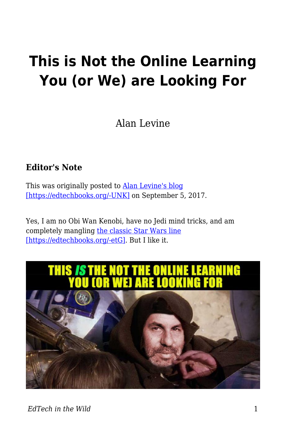# **This is Not the Online Learning You (or We) are Looking For**

Alan Levine

### **Editor's Note**

This was originally posted to **Alan Levine's blog** [\[https://edtechbooks.org/-UNK\]](https://cogdogblog.com/2017/09/not-the-online-learning/) on September 5, 2017.

Yes, I am no Obi Wan Kenobi, have no Jedi mind tricks, and am completely mangling [the classic Star Wars line](https://youtu.be/532j-186xEQ?t=43s) [\[https://edtechbooks.org/-etG\].](https://youtu.be/532j-186xEQ?t=43s) But I like it.

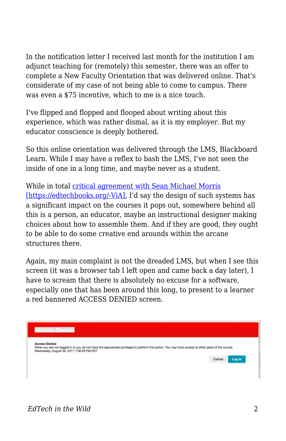In the notification letter I received last month for the institution I am adjunct teaching for (remotely) this semester, there was an offer to complete a New Faculty Orientation that was delivered online. That's considerate of my case of not being able to come to campus. There was even a \$75 incentive, which to me is a nice touch.

I've flipped and flopped and flooped about writing about this experience, which was rather dismal, as it is my employer. But my educator conscience is deeply bothered.

So this online orientation was delivered through the LMS, Blackboard Learn. While I may have a reflex to bash the LMS, I've not seen the inside of one in a long time, and maybe never as a student.

While in total [critical agreement with Sean Michael Morris](http://digitallearning.middcreate.net/instructional-design/reading-the-lms-against-the-backdrop-of-critical-pedagogy-part-one/) [\[https://edtechbooks.org/-ViA\]](http://digitallearning.middcreate.net/instructional-design/reading-the-lms-against-the-backdrop-of-critical-pedagogy-part-one/), I'd say the design of such systems has a significant impact on the courses it pops out, somewhere behind all this is a person, an educator, maybe an instructional designer making choices about how to assemble them. And if they are good, they ought to be able to do some creative end arounds within the arcane structures there.

Again, my main complaint is not the dreaded LMS, but when I see this screen (it was a browser tab I left open and came back a day later), I have to scream that there is absolutely no excuse for a software, especially one that has been around this long, to present to a learner a red bannered ACCESS DENIED screen.

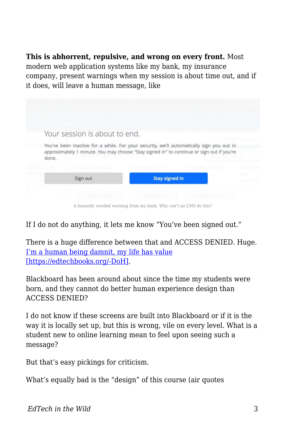#### **This is abhorrent, repulsive, and wrong on every front.** Most

modern web application systems like my bank, my insurance company, present warnings when my session is about time out, and if it does, will leave a human message, like

|  | Your session is about to end.                                                                                                                                                                  |                              |                            |                             |    |  |
|--|------------------------------------------------------------------------------------------------------------------------------------------------------------------------------------------------|------------------------------|----------------------------|-----------------------------|----|--|
|  | You've been inactive for a while. For your security, we'll automatically sign you out in<br>approximately 1 minute. You may choose "Stay signed in" to continue or sign out if you're<br>done. |                              |                            |                             |    |  |
|  |                                                                                                                                                                                                | Associated in Production for | <b>Postage balones \$3</b> | <b>Credicalt protection</b> |    |  |
|  | Sign out                                                                                                                                                                                       |                              | <b>Stay signed in</b>      |                             | Οn |  |
|  |                                                                                                                                                                                                |                              |                            |                             |    |  |

A humanly worded warning from my bank. Why can't an LMS do this?

If I do not do anything, it lets me know "You've been signed out."

There is a huge difference between that and ACCESS DENIED. Huge. [I'm a human being damnit, my life has value](https://youtu.be/N4ijDjKj4ZQ?t=1m13s) [\[https://edtechbooks.org/-DoH\].](https://youtu.be/N4ijDjKj4ZQ?t=1m13s)

Blackboard has been around about since the time my students were born, and they cannot do better human experience design than ACCESS DENIED?

I do not know if these screens are built into Blackboard or if it is the way it is locally set up, but this is wrong, vile on every level. What is a student new to online learning mean to feel upon seeing such a message?

But that's easy pickings for criticism.

What's equally bad is the "design" of this course (air quotes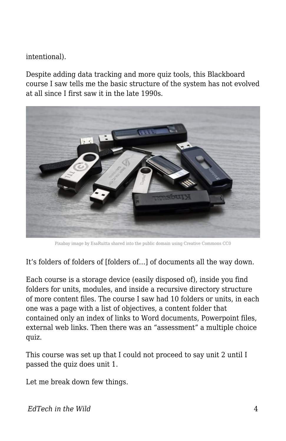intentional).

Despite adding data tracking and more quiz tools, this Blackboard course I saw tells me the basic structure of the system has not evolved at all since I first saw it in the late 1990s.



Pixabay image by EsaRuitta shared into the public domain using Creative Commons CC0

It's folders of folders of [folders of…] of documents all the way down.

Each course is a storage device (easily disposed of), inside you find folders for units, modules, and inside a recursive directory structure of more content files. The course I saw had 10 folders or units, in each one was a page with a list of objectives, a content folder that contained only an index of links to Word documents, Powerpoint files, external web links. Then there was an "assessment" a multiple choice quiz.

This course was set up that I could not proceed to say unit 2 until I passed the quiz does unit 1.

Let me break down few things.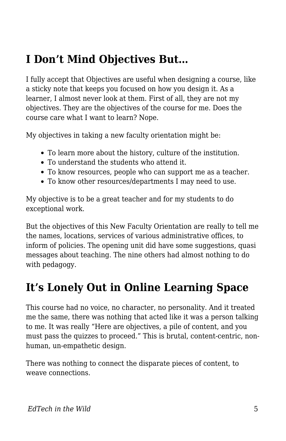# **I Don't Mind Objectives But…**

I fully accept that Objectives are useful when designing a course, like a sticky note that keeps you focused on how you design it. As a learner, I almost never look at them. First of all, they are not my objectives. They are the objectives of the course for me. Does the course care what I want to learn? Nope.

My objectives in taking a new faculty orientation might be:

- To learn more about the history, culture of the institution.
- To understand the students who attend it.
- To know resources, people who can support me as a teacher.
- To know other resources/departments I may need to use.

My objective is to be a great teacher and for my students to do exceptional work.

But the objectives of this New Faculty Orientation are really to tell me the names, locations, services of various administrative offices, to inform of policies. The opening unit did have some suggestions, quasi messages about teaching. The nine others had almost nothing to do with pedagogy.

### **It's Lonely Out in Online Learning Space**

This course had no voice, no character, no personality. And it treated me the same, there was nothing that acted like it was a person talking to me. It was really "Here are objectives, a pile of content, and you must pass the quizzes to proceed." This is brutal, content-centric, nonhuman, un-empathetic design.

There was nothing to connect the disparate pieces of content, to weave connections.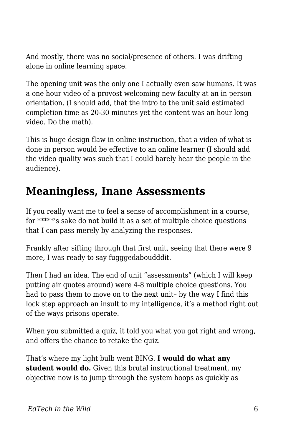And mostly, there was no social/presence of others. I was drifting alone in online learning space.

The opening unit was the only one I actually even saw humans. It was a one hour video of a provost welcoming new faculty at an in person orientation. (I should add, that the intro to the unit said estimated completion time as 20-30 minutes yet the content was an hour long video. Do the math).

This is huge design flaw in online instruction, that a video of what is done in person would be effective to an online learner (I should add the video quality was such that I could barely hear the people in the audience).

### **Meaningless, Inane Assessments**

If you really want me to feel a sense of accomplishment in a course, for \*\*\*\*\*'s sake do not build it as a set of multiple choice questions that I can pass merely by analyzing the responses.

Frankly after sifting through that first unit, seeing that there were 9 more, I was ready to say fugggedaboudddit.

Then I had an idea. The end of unit "assessments" (which I will keep putting air quotes around) were 4-8 multiple choice questions. You had to pass them to move on to the next unit– by the way I find this lock step approach an insult to my intelligence, it's a method right out of the ways prisons operate.

When you submitted a quiz, it told you what you got right and wrong, and offers the chance to retake the quiz.

That's where my light bulb went BING. **I would do what any student would do.** Given this brutal instructional treatment, my objective now is to jump through the system hoops as quickly as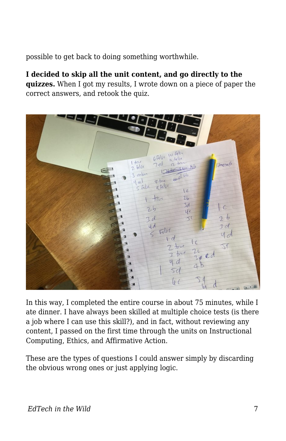possible to get back to doing something worthwhile.

**I decided to skip all the unit content, and go directly to the quizzes.** When I got my results, I wrote down on a piece of paper the correct answers, and retook the quiz.



In this way, I completed the entire course in about 75 minutes, while I ate dinner. I have always been skilled at multiple choice tests (is there a job where I can use this skill?), and in fact, without reviewing any content, I passed on the first time through the units on Instructional Computing, Ethics, and Affirmative Action.

These are the types of questions I could answer simply by discarding the obvious wrong ones or just applying logic.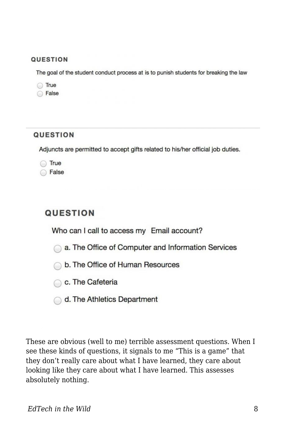#### QUESTION

The goal of the student conduct process at is to punish students for breaking the law

| True  |
|-------|
| False |

#### **QUESTION**

Adjuncts are permitted to accept gifts related to his/her official job duties.

**True False** 

### **QUESTION**

Who can I call to access my Email account?

a. The Office of Computer and Information Services

- b. The Office of Human Resources
- C. The Cafeteria
- d. The Athletics Department

These are obvious (well to me) terrible assessment questions. When I see these kinds of questions, it signals to me "This is a game" that they don't really care about what I have learned, they care about looking like they care about what I have learned. This assesses absolutely nothing.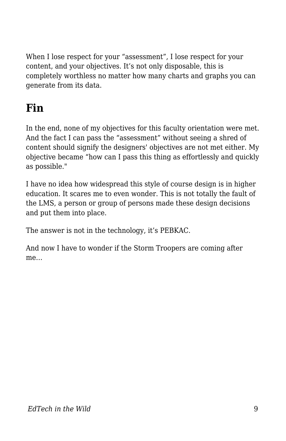When I lose respect for your "assessment", I lose respect for your content, and your objectives. It's not only disposable, this is completely worthless no matter how many charts and graphs you can generate from its data.

## **Fin**

In the end, none of my objectives for this faculty orientation were met. And the fact I can pass the "assessment" without seeing a shred of content should signify the designers' objectives are not met either. My objective became "how can I pass this thing as effortlessly and quickly as possible."

I have no idea how widespread this style of course design is in higher education. It scares me to even wonder. This is not totally the fault of the LMS, a person or group of persons made these design decisions and put them into place.

The answer is not in the technology, it's PEBKAC.

And now I have to wonder if the Storm Troopers are coming after me…